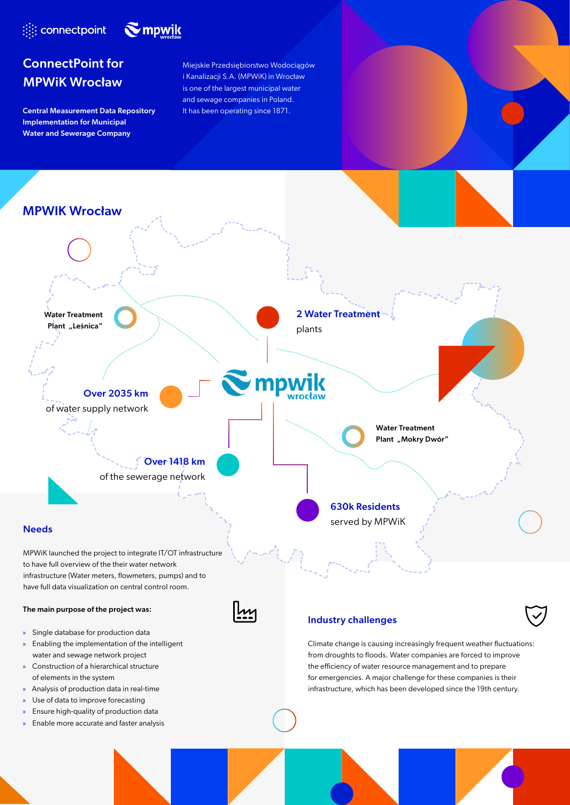



# ConnectPoint for MPWiK Wrocław

Central Measurement Data Repository It has been operating since 1871. Implementation for Municipal Water and Sewerage Company

Miejskie Przedsiębiorstwo Wodociągów i Kanalizacji S.A. (MPWiK) in Wrocław is one of the largest municipal water and sewage companies in Poland.



water and sewage network project » Construction of a hierarchical structure of elements in the system

- » Analysis of production data in real-time
- Use of data to improve forecasting
- » Ensure high-quality of production data
- » Enable more accurate and faster analysis

from droughts to floods. Water companies are forced to improve the efficiency of water resource management and to prepare for emergencies. A major challenge for these companies is their infrastructure, which has been developed since the 19th century.